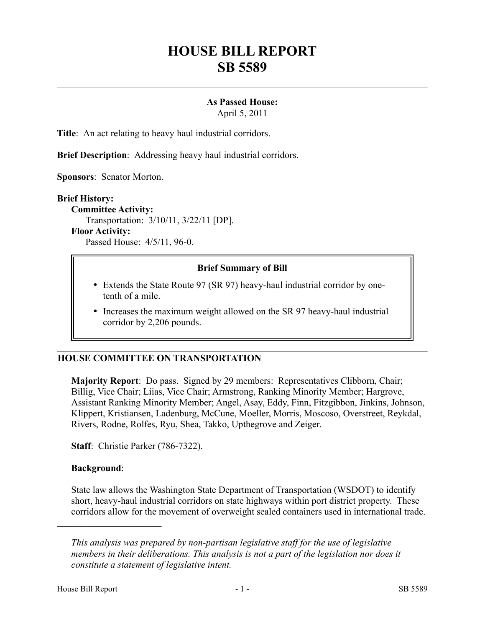# **HOUSE BILL REPORT SB 5589**

# **As Passed House:**

April 5, 2011

**Title**: An act relating to heavy haul industrial corridors.

**Brief Description**: Addressing heavy haul industrial corridors.

**Sponsors**: Senator Morton.

#### **Brief History:**

**Committee Activity:** Transportation: 3/10/11, 3/22/11 [DP]. **Floor Activity:**

Passed House: 4/5/11, 96-0.

#### **Brief Summary of Bill**

- Extends the State Route 97 (SR 97) heavy-haul industrial corridor by onetenth of a mile.
- Increases the maximum weight allowed on the SR 97 heavy-haul industrial corridor by 2,206 pounds.

#### **HOUSE COMMITTEE ON TRANSPORTATION**

**Majority Report**: Do pass. Signed by 29 members: Representatives Clibborn, Chair; Billig, Vice Chair; Liias, Vice Chair; Armstrong, Ranking Minority Member; Hargrove, Assistant Ranking Minority Member; Angel, Asay, Eddy, Finn, Fitzgibbon, Jinkins, Johnson, Klippert, Kristiansen, Ladenburg, McCune, Moeller, Morris, Moscoso, Overstreet, Reykdal, Rivers, Rodne, Rolfes, Ryu, Shea, Takko, Upthegrove and Zeiger.

**Staff**: Christie Parker (786-7322).

#### **Background**:

––––––––––––––––––––––

State law allows the Washington State Department of Transportation (WSDOT) to identify short, heavy-haul industrial corridors on state highways within port district property. These corridors allow for the movement of overweight sealed containers used in international trade.

*This analysis was prepared by non-partisan legislative staff for the use of legislative members in their deliberations. This analysis is not a part of the legislation nor does it constitute a statement of legislative intent.*